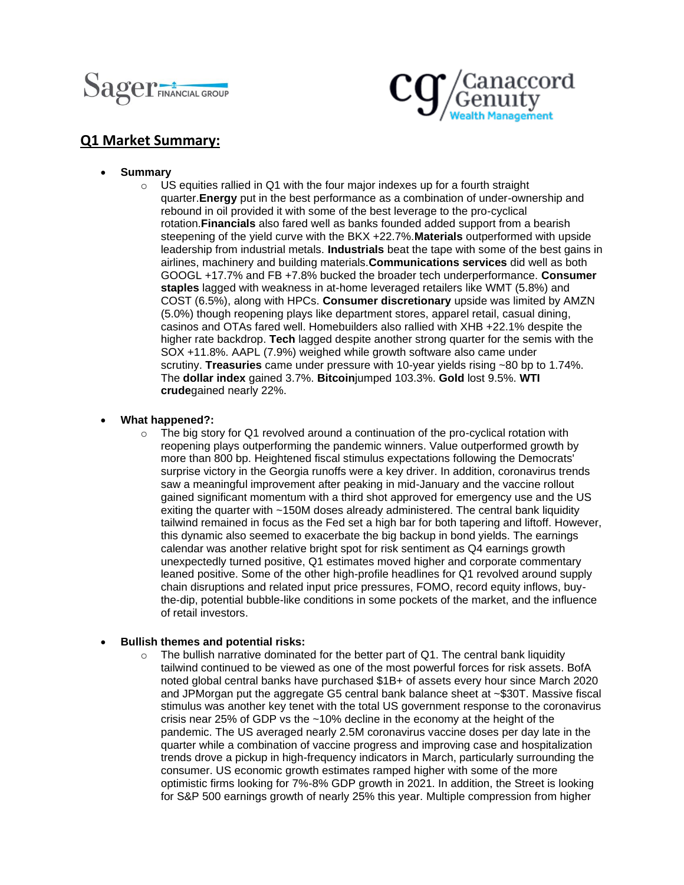



# **Q1 Market Summary:**

- **Summary**
	- $\circ$  US equities rallied in Q1 with the four major indexes up for a fourth straight quarter.**Energy** put in the best performance as a combination of under-ownership and rebound in oil provided it with some of the best leverage to the pro-cyclical rotation.**Financials** also fared well as banks founded added support from a bearish steepening of the yield curve with the BKX +22.7%.**Materials** outperformed with upside leadership from industrial metals. **Industrials** beat the tape with some of the best gains in airlines, machinery and building materials.**Communications services** did well as both GOOGL +17.7% and FB +7.8% bucked the broader tech underperformance. **Consumer staples** lagged with weakness in at-home leveraged retailers like WMT (5.8%) and COST (6.5%), along with HPCs. **Consumer discretionary** upside was limited by AMZN (5.0%) though reopening plays like department stores, apparel retail, casual dining, casinos and OTAs fared well. Homebuilders also rallied with XHB +22.1% despite the higher rate backdrop. **Tech** lagged despite another strong quarter for the semis with the SOX +11.8%. AAPL (7.9%) weighed while growth software also came under scrutiny. **Treasuries** came under pressure with 10-year yields rising ~80 bp to 1.74%. The **dollar index** gained 3.7%. **Bitcoin**jumped 103.3%. **Gold** lost 9.5%. **WTI crude**gained nearly 22%.
- **What happened?:**
	- The big story for Q1 revolved around a continuation of the pro-cyclical rotation with reopening plays outperforming the pandemic winners. Value outperformed growth by more than 800 bp. Heightened fiscal stimulus expectations following the Democrats' surprise victory in the Georgia runoffs were a key driver. In addition, coronavirus trends saw a meaningful improvement after peaking in mid-January and the vaccine rollout gained significant momentum with a third shot approved for emergency use and the US exiting the quarter with ~150M doses already administered. The central bank liquidity tailwind remained in focus as the Fed set a high bar for both tapering and liftoff. However, this dynamic also seemed to exacerbate the big backup in bond yields. The earnings calendar was another relative bright spot for risk sentiment as Q4 earnings growth unexpectedly turned positive, Q1 estimates moved higher and corporate commentary leaned positive. Some of the other high-profile headlines for Q1 revolved around supply chain disruptions and related input price pressures, FOMO, record equity inflows, buythe-dip, potential bubble-like conditions in some pockets of the market, and the influence of retail investors.

## • **Bullish themes and potential risks:**

 $\circ$  The bullish narrative dominated for the better part of Q1. The central bank liquidity tailwind continued to be viewed as one of the most powerful forces for risk assets. BofA noted global central banks have purchased \$1B+ of assets every hour since March 2020 and JPMorgan put the aggregate G5 central bank balance sheet at ~\$30T. Massive fiscal stimulus was another key tenet with the total US government response to the coronavirus crisis near 25% of GDP vs the ~10% decline in the economy at the height of the pandemic. The US averaged nearly 2.5M coronavirus vaccine doses per day late in the quarter while a combination of vaccine progress and improving case and hospitalization trends drove a pickup in high-frequency indicators in March, particularly surrounding the consumer. US economic growth estimates ramped higher with some of the more optimistic firms looking for 7%-8% GDP growth in 2021. In addition, the Street is looking for S&P 500 earnings growth of nearly 25% this year. Multiple compression from higher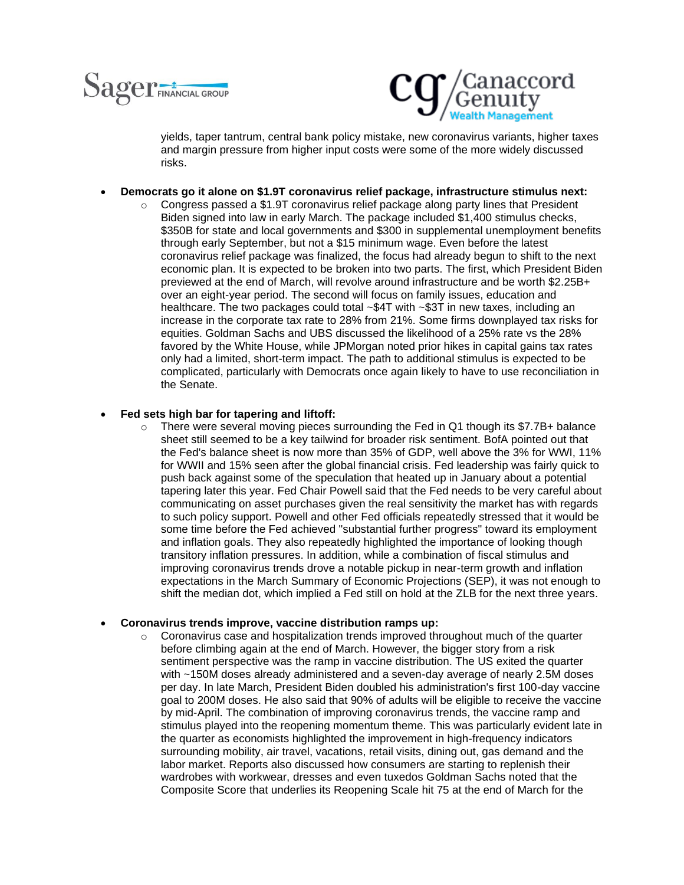



yields, taper tantrum, central bank policy mistake, new coronavirus variants, higher taxes and margin pressure from higher input costs were some of the more widely discussed risks.

## • **Democrats go it alone on \$1.9T coronavirus relief package, infrastructure stimulus next:**

 $\circ$  Congress passed a \$1.9T coronavirus relief package along party lines that President Biden signed into law in early March. The package included \$1,400 stimulus checks, \$350B for state and local governments and \$300 in supplemental unemployment benefits through early September, but not a \$15 minimum wage. Even before the latest coronavirus relief package was finalized, the focus had already begun to shift to the next economic plan. It is expected to be broken into two parts. The first, which President Biden previewed at the end of March, will revolve around infrastructure and be worth \$2.25B+ over an eight-year period. The second will focus on family issues, education and healthcare. The two packages could total ~\$4T with ~\$3T in new taxes, including an increase in the corporate tax rate to 28% from 21%. Some firms downplayed tax risks for equities. Goldman Sachs and UBS discussed the likelihood of a 25% rate vs the 28% favored by the White House, while JPMorgan noted prior hikes in capital gains tax rates only had a limited, short-term impact. The path to additional stimulus is expected to be complicated, particularly with Democrats once again likely to have to use reconciliation in the Senate.

### • **Fed sets high bar for tapering and liftoff:**

 $\circ$  There were several moving pieces surrounding the Fed in Q1 though its \$7.7B+ balance sheet still seemed to be a key tailwind for broader risk sentiment. BofA pointed out that the Fed's balance sheet is now more than 35% of GDP, well above the 3% for WWI, 11% for WWII and 15% seen after the global financial crisis. Fed leadership was fairly quick to push back against some of the speculation that heated up in January about a potential tapering later this year. Fed Chair Powell said that the Fed needs to be very careful about communicating on asset purchases given the real sensitivity the market has with regards to such policy support. Powell and other Fed officials repeatedly stressed that it would be some time before the Fed achieved "substantial further progress" toward its employment and inflation goals. They also repeatedly highlighted the importance of looking though transitory inflation pressures. In addition, while a combination of fiscal stimulus and improving coronavirus trends drove a notable pickup in near-term growth and inflation expectations in the March Summary of Economic Projections (SEP), it was not enough to shift the median dot, which implied a Fed still on hold at the ZLB for the next three years.

#### • **Coronavirus trends improve, vaccine distribution ramps up:**

 $\circ$  Coronavirus case and hospitalization trends improved throughout much of the quarter before climbing again at the end of March. However, the bigger story from a risk sentiment perspective was the ramp in vaccine distribution. The US exited the quarter with ~150M doses already administered and a seven-day average of nearly 2.5M doses per day. In late March, President Biden doubled his administration's first 100-day vaccine goal to 200M doses. He also said that 90% of adults will be eligible to receive the vaccine by mid-April. The combination of improving coronavirus trends, the vaccine ramp and stimulus played into the reopening momentum theme. This was particularly evident late in the quarter as economists highlighted the improvement in high-frequency indicators surrounding mobility, air travel, vacations, retail visits, dining out, gas demand and the labor market. Reports also discussed how consumers are starting to replenish their wardrobes with workwear, dresses and even tuxedos Goldman Sachs noted that the Composite Score that underlies its Reopening Scale hit 75 at the end of March for the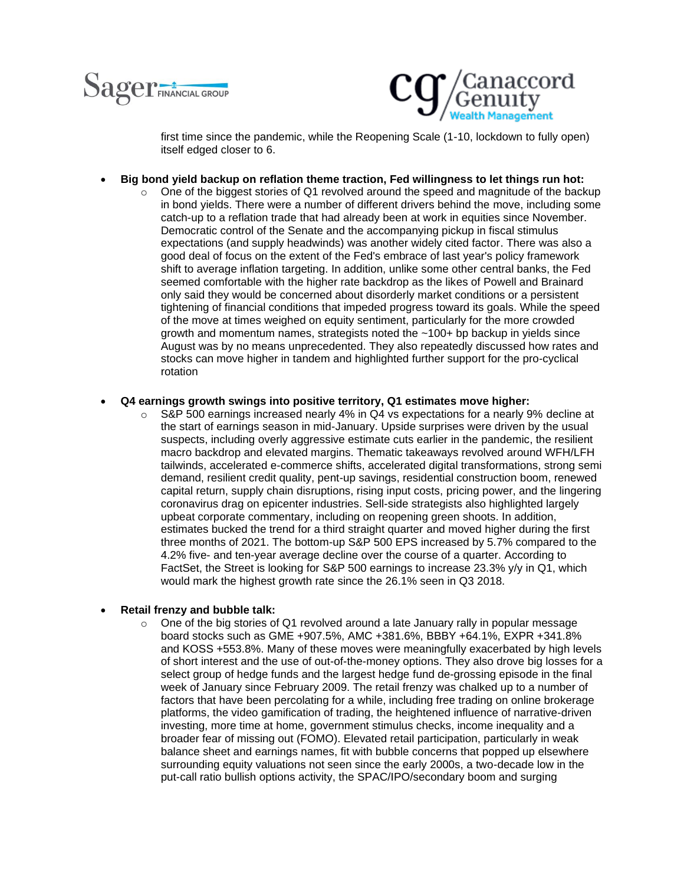



first time since the pandemic, while the Reopening Scale (1-10, lockdown to fully open) itself edged closer to 6.

- **Big bond yield backup on reflation theme traction, Fed willingness to let things run hot:**
	- $\circ$  One of the biggest stories of Q1 revolved around the speed and magnitude of the backup in bond yields. There were a number of different drivers behind the move, including some catch-up to a reflation trade that had already been at work in equities since November. Democratic control of the Senate and the accompanying pickup in fiscal stimulus expectations (and supply headwinds) was another widely cited factor. There was also a good deal of focus on the extent of the Fed's embrace of last year's policy framework shift to average inflation targeting. In addition, unlike some other central banks, the Fed seemed comfortable with the higher rate backdrop as the likes of Powell and Brainard only said they would be concerned about disorderly market conditions or a persistent tightening of financial conditions that impeded progress toward its goals. While the speed of the move at times weighed on equity sentiment, particularly for the more crowded growth and momentum names, strategists noted the ~100+ bp backup in yields since August was by no means unprecedented. They also repeatedly discussed how rates and stocks can move higher in tandem and highlighted further support for the pro-cyclical rotation
- **Q4 earnings growth swings into positive territory, Q1 estimates move higher:**
	- $\circ$  S&P 500 earnings increased nearly 4% in Q4 vs expectations for a nearly 9% decline at the start of earnings season in mid-January. Upside surprises were driven by the usual suspects, including overly aggressive estimate cuts earlier in the pandemic, the resilient macro backdrop and elevated margins. Thematic takeaways revolved around WFH/LFH tailwinds, accelerated e-commerce shifts, accelerated digital transformations, strong semi demand, resilient credit quality, pent-up savings, residential construction boom, renewed capital return, supply chain disruptions, rising input costs, pricing power, and the lingering coronavirus drag on epicenter industries. Sell-side strategists also highlighted largely upbeat corporate commentary, including on reopening green shoots. In addition, estimates bucked the trend for a third straight quarter and moved higher during the first three months of 2021. The bottom-up S&P 500 EPS increased by 5.7% compared to the 4.2% five- and ten-year average decline over the course of a quarter. According to FactSet, the Street is looking for S&P 500 earnings to increase 23.3% y/y in Q1, which would mark the highest growth rate since the 26.1% seen in Q3 2018.

#### • **Retail frenzy and bubble talk:**

 $\circ$  One of the big stories of Q1 revolved around a late January rally in popular message board stocks such as GME +907.5%, AMC +381.6%, BBBY +64.1%, EXPR +341.8% and KOSS +553.8%. Many of these moves were meaningfully exacerbated by high levels of short interest and the use of out-of-the-money options. They also drove big losses for a select group of hedge funds and the largest hedge fund de-grossing episode in the final week of January since February 2009. The retail frenzy was chalked up to a number of factors that have been percolating for a while, including free trading on online brokerage platforms, the video gamification of trading, the heightened influence of narrative-driven investing, more time at home, government stimulus checks, income inequality and a broader fear of missing out (FOMO). Elevated retail participation, particularly in weak balance sheet and earnings names, fit with bubble concerns that popped up elsewhere surrounding equity valuations not seen since the early 2000s, a two-decade low in the put-call ratio bullish options activity, the SPAC/IPO/secondary boom and surging